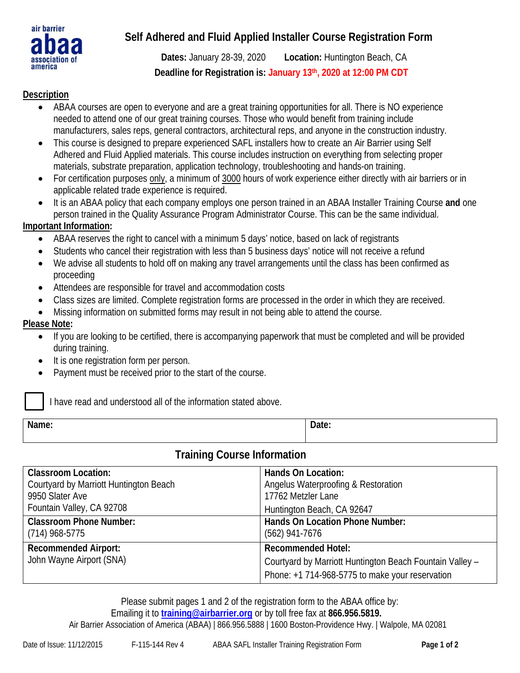

# **Self Adhered and Fluid Applied Installer Course Registration Form**

**Dates:** January 28-39, 2020 **Location:** Huntington Beach, CA **Deadline for Registration is: January 13th, 2020 at 12:00 PM CDT**

### **Description**

- ABAA courses are open to everyone and are a great training opportunities for all. There is NO experience needed to attend one of our great training courses. Those who would benefit from training include manufacturers, sales reps, general contractors, architectural reps, and anyone in the construction industry.
- This course is designed to prepare experienced SAFL installers how to create an Air Barrier using Self Adhered and Fluid Applied materials. This course includes instruction on everything from selecting proper materials, substrate preparation, application technology, troubleshooting and hands-on training.
- For certification purposes only, a minimum of 3000 hours of work experience either directly with air barriers or in applicable related trade experience is required.
- It is an ABAA policy that each company employs one person trained in an ABAA Installer Training Course **and** one person trained in the Quality Assurance Program Administrator Course. This can be the same individual.

### **Important Information:**

- ABAA reserves the right to cancel with a minimum 5 days' notice, based on lack of registrants
- Students who cancel their registration with less than 5 business days' notice will not receive a refund
- We advise all students to hold off on making any travel arrangements until the class has been confirmed as proceeding
- Attendees are responsible for travel and accommodation costs
- Class sizes are limited. Complete registration forms are processed in the order in which they are received.
- Missing information on submitted forms may result in not being able to attend the course.

### **Please Note:**

- If you are looking to be certified, there is accompanying paperwork that must be completed and will be provided during training.
- It is one registration form per person.
- Payment must be received prior to the start of the course.

I have read and understood all of the information stated above.

| Name: | Date: |
|-------|-------|
|-------|-------|

## **Training Course Information**

| <b>Classroom Location:</b>                              | Hands On Location:                                                                                                                       |
|---------------------------------------------------------|------------------------------------------------------------------------------------------------------------------------------------------|
| Courtyard by Marriott Huntington Beach                  | Angelus Waterproofing & Restoration                                                                                                      |
| 9950 Slater Ave                                         | 17762 Metzler Lane                                                                                                                       |
| Fountain Valley, CA 92708                               | Huntington Beach, CA 92647                                                                                                               |
| <b>Classroom Phone Number:</b>                          | <b>Hands On Location Phone Number:</b>                                                                                                   |
| $(714)$ 968-5775                                        | $(562)$ 941-7676                                                                                                                         |
| <b>Recommended Airport:</b><br>John Wayne Airport (SNA) | <b>Recommended Hotel:</b><br>Courtyard by Marriott Huntington Beach Fountain Valley -<br>Phone: +1 714-968-5775 to make your reservation |

Please submit pages 1 and 2 of the registration form to the ABAA office by:

#### Emailing it to **training@airbarrier.org** or by toll free fax at **866.956.5819.**

Air Barrier Association of America (ABAA) | 866.956.5888 | 1600 Boston-Providence Hwy. | Walpole, MA 02081